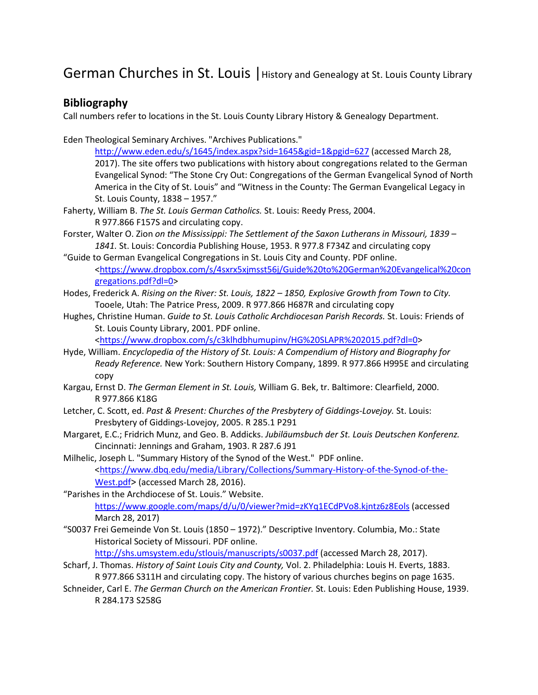German Churches in St. Louis | History and Genealogy at St. Louis County Library

### **Bibliography**

Call numbers refer to locations in the St. Louis County Library History & Genealogy Department.

Eden Theological Seminary Archives. "Archives Publications."

<http://www.eden.edu/s/1645/index.aspx?sid=1645&gid=1&pgid=627> (accessed March 28, 2017). The site offers two publications with history about congregations related to the German Evangelical Synod: "The Stone Cry Out: Congregations of the German Evangelical Synod of North America in the City of St. Louis" and "Witness in the County: The German Evangelical Legacy in St. Louis County, 1838 – 1957."

- Faherty, William B. *The St. Louis German Catholics.* St. Louis: Reedy Press, 2004. R 977.866 F157S and circulating copy.
- Forster, Walter O. Zion *on the Mississippi: The Settlement of the Saxon Lutherans in Missouri, 1839 – 1841.* St. Louis: Concordia Publishing House, 1953. R 977.8 F734Z and circulating copy
- "Guide to German Evangelical Congregations in St. Louis City and County. PDF online. [<https://www.dropbox.com/s/4sxrx5xjmsst56j/Guide%20to%20German%20Evangelical%20con](https://www.dropbox.com/s/4sxrx5xjmsst56j/Guide%20to%20German%20Evangelical%20congregations.pdf?dl=0) [gregations.pdf?dl=0>](https://www.dropbox.com/s/4sxrx5xjmsst56j/Guide%20to%20German%20Evangelical%20congregations.pdf?dl=0)
- Hodes, Frederick A. *Rising on the River: St. Louis, 1822 – 1850, Explosive Growth from Town to City.*  Tooele, Utah: The Patrice Press, 2009. R 977.866 H687R and circulating copy
- Hughes, Christine Human. *Guide to St. Louis Catholic Archdiocesan Parish Records.* St. Louis: Friends of St. Louis County Library, 2001. PDF online. [<https://www.dropbox.com/s/c3klhdbhumupinv/HG%20SLAPR%202015.pdf?dl=0>](https://www.dropbox.com/s/c3klhdbhumupinv/HG%20SLAPR%202015.pdf?dl=0)
- Hyde, William. *Encyclopedia of the History of St. Louis: A Compendium of History and Biography for Ready Reference.* New York: Southern History Company, 1899. R 977.866 H995E and circulating copy
- Kargau, Ernst D. *The German Element in St. Louis,* William G. Bek, tr. Baltimore: Clearfield, 2000. R 977.866 K18G
- Letcher, C. Scott, ed. *Past & Present: Churches of the Presbytery of Giddings-Lovejoy.* St. Louis: Presbytery of Giddings-Lovejoy, 2005. R 285.1 P291
- Margaret, E.C.; Fridrich Munz, and Geo. B. Addicks. *Jubiläumsbuch der St. Louis Deutschen Konferenz.* Cincinnati: Jennings and Graham, 1903. R 287.6 J91
- Milhelic, Joseph L. "Summary History of the Synod of the West." PDF online. [<https://www.dbq.edu/media/Library/Collections/Summary-History-of-the-Synod-of-the-](https://www.dbq.edu/media/Library/Collections/Summary-History-of-the-Synod-of-the-West.pdf)[West.pdf>](https://www.dbq.edu/media/Library/Collections/Summary-History-of-the-Synod-of-the-West.pdf) (accessed March 28, 2016).

"Parishes in the Archdiocese of St. Louis." Website. <https://www.google.com/maps/d/u/0/viewer?mid=zKYq1ECdPVo8.kjntz6z8Eols> (accessed March 28, 2017)

"S0037 Frei Gemeinde Von St. Louis (1850 – 1972)." Descriptive Inventory. Columbia, Mo.: State Historical Society of Missouri. PDF online.

<http://shs.umsystem.edu/stlouis/manuscripts/s0037.pdf> (accessed March 28, 2017).

- Scharf, J. Thomas. *History of Saint Louis City and County,* Vol. 2. Philadelphia: Louis H. Everts, 1883. R 977.866 S311H and circulating copy. The history of various churches begins on page 1635.
- Schneider, Carl E. *The German Church on the American Frontier.* St. Louis: Eden Publishing House, 1939. R 284.173 S258G